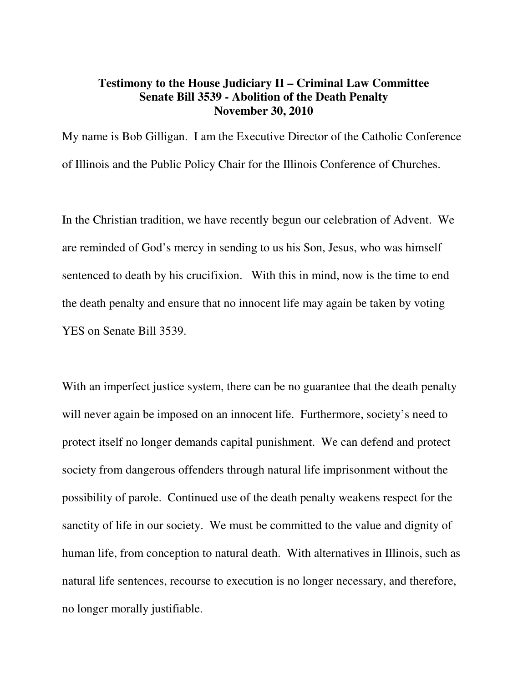## **Testimony to the House Judiciary II – Criminal Law Committee Senate Bill 3539 - Abolition of the Death Penalty November 30, 2010**

My name is Bob Gilligan. I am the Executive Director of the Catholic Conference of Illinois and the Public Policy Chair for the Illinois Conference of Churches.

In the Christian tradition, we have recently begun our celebration of Advent. We are reminded of God's mercy in sending to us his Son, Jesus, who was himself sentenced to death by his crucifixion. With this in mind, now is the time to end the death penalty and ensure that no innocent life may again be taken by voting YES on Senate Bill 3539.

With an imperfect justice system, there can be no guarantee that the death penalty will never again be imposed on an innocent life. Furthermore, society's need to protect itself no longer demands capital punishment. We can defend and protect society from dangerous offenders through natural life imprisonment without the possibility of parole. Continued use of the death penalty weakens respect for the sanctity of life in our society. We must be committed to the value and dignity of human life, from conception to natural death. With alternatives in Illinois, such as natural life sentences, recourse to execution is no longer necessary, and therefore, no longer morally justifiable.